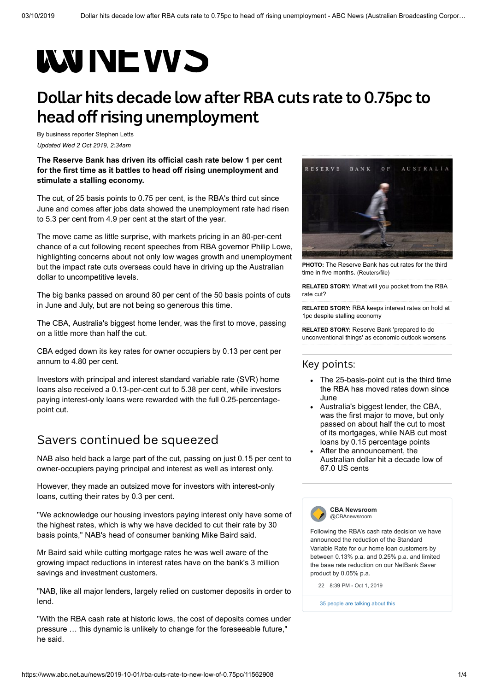# **WUNEWS**

## **Dollar hits decade low after RBA cuts rate to 0.75pc to head off rising unemployment**

By business reporter [Stephen Letts](https://www.abc.net.au/news/stephen-letts/5639296) *Updated Wed 2 Oct 2019, 2:34am*

#### **The Reserve Bank has driven its official cash rate below 1 per cent for the first time as it battles to head off rising unemployment and stimulate a stalling economy.**

The cut, of 25 basis points to 0.75 per cent, is the RBA's third cut since June and comes after jobs data showed the unemployment rate had risen to 5.3 per cent from 4.9 per cent at the start of the year.

The move came as little surprise, with markets pricing in an 80-per-cent chance of a cut following recent speeches from RBA governor Philip Lowe, highlighting concerns about not only low wages growth and unemployment but the impact rate cuts overseas could have in driving up the Australian dollar to uncompetitive levels.

The big banks passed on around 80 per cent of the 50 basis points of cuts in June and July, but are not being so generous this time.

The CBA, Australia's biggest home lender, was the first to move, passing on a little more than half the cut.

CBA edged down its key rates for owner occupiers by 0.13 per cent per annum to 4.80 per cent.

Investors with principal and interest standard variable rate (SVR) home loans also received a 0.13-per-cent cut to 5.38 per cent, while investors paying interest-only loans were rewarded with the full 0.25-percentagepoint cut.

## Savers continued be squeezed

NAB also held back a large part of the cut, passing on just 0.15 per cent to owner-occupiers paying principal and interest as well as interest only.

However, they made an outsized move for investors with interest**-**only loans, cutting their rates by 0.3 per cent.

"We acknowledge our housing investors paying interest only have some of the highest rates, which is why we have decided to cut their rate by 30 basis points," NAB's head of consumer banking Mike Baird said.

Mr Baird said while cutting mortgage rates he was well aware of the growing impact reductions in interest rates have on the bank's 3 million savings and investment customers.

"NAB, like all major lenders, largely relied on customer deposits in order to lend.

"With the RBA cash rate at historic lows, the cost of deposits comes under pressure … this dynamic is unlikely to change for the foreseeable future," he said.



**PHOTO:** [The Reserve Bank has cut rates for the third](https://www.abc.net.au/news/2019-10-01/reserve-bank-sign-1/11563866) time in five months. (Reuters/file)

**RELATED STORY:** [What will you pocket from the RBA](https://www.abc.net.au/news/2019-09-29/full-rba-cut-will-not-be-passed-on-by-banks-what-will-you-get/11547510) rate cut?

**RELATED STORY:** [RBA keeps interest rates on hold at](https://www.abc.net.au/news/2019-09-03/rba-keeps-rates-on-hold-at-1pc-despite-stalling-economy/11473456) 1pc despite stalling economy

**RELATED STORY:** Reserve Bank 'prepared to do [unconventional things' as economic outlook worsens](https://www.abc.net.au/news/2019-08-09/reserve-bank-cuts-economic-forecasts-again/11399576)

#### Key points:

- The 25-basis-point cut is the third time the RBA has moved rates down since June
- Australia's biggest lender, the CBA, was the first major to move, but only passed on about half the cut to most of its mortgages, while NAB cut most loans by 0.15 percentage points
- After the announcement, the Australian dollar hit a decade low of 67.0 US cents



Following the RBA's cash rate decision we have announced the reduction of the Standard Variable Rate for our home loan customers by between 0.13% p.a. and 0.25% p.a. and limited the base rate reduction on our NetBank Saver product by 0.05% p.a.

[22](https://twitter.com/intent/like?tweet_id=1178937372135677954) [8:39 PM - Oct 1, 2019](https://twitter.com/CBAnewsroom/status/1178937372135677954)

[35 people are talking about this](https://twitter.com/CBAnewsroom/status/1178937372135677954)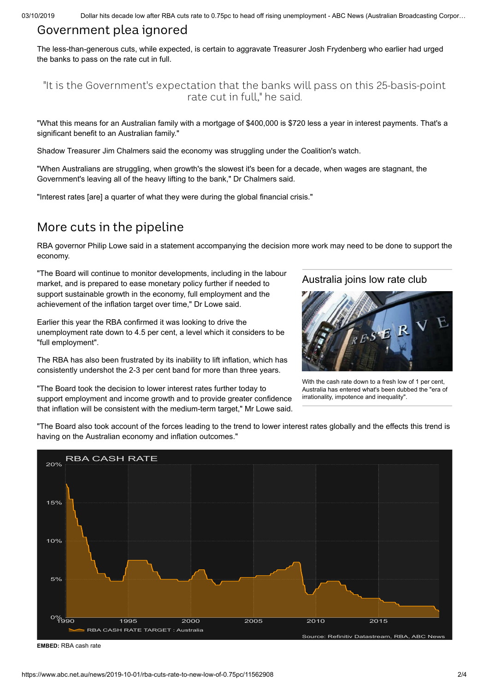#### Government plea ignored

The less-than-generous cuts, while expected, is certain to aggravate Treasurer Josh Frydenberg who earlier had urged the banks to pass on the rate cut in full.

#### "It is the Government's expectation that the banks will pass on this 25-basis-point rate cut in full," he said.

"What this means for an Australian family with a mortgage of \$400,000 is \$720 less a year in interest payments. That's a significant benefit to an Australian family."

Shadow Treasurer Jim Chalmers said the economy was struggling under the Coalition's watch.

"When Australians are struggling, when growth's the slowest it's been for a decade, when wages are stagnant, the Government's leaving all of the heavy lifting to the bank," Dr Chalmers said.

"Interest rates [are] a quarter of what they were during the global financial crisis."

### More cuts in the pipeline

RBA governor Philip Lowe said in a statement accompanying the decision more work may need to be done to support the economy.

"The Board will continue to monitor developments, including in the labour market, and is prepared to ease monetary policy further if needed to support sustainable growth in the economy, full employment and the achievement of the inflation target over time," Dr Lowe said.

Earlier this year the RBA confirmed it was looking to drive the unemployment rate down to 4.5 per cent, a level which it considers to be "full employment".

The RBA has also been frustrated by its inability to lift inflation, which has consistently undershot the 2-3 per cent band for more than three years.

that inflation will be consistent with the medium-term target," Mr Lowe said.

"The Board took the decision to lower interest rates further today to support employment and income growth and to provide greater confidence

[Australia](https://www.abc.net.au/news/2019-07-02/interest-rates-at-1pc-may-be-new-for-australia-but-not-overseas/11271268) joins low rate club



With the cash rate down to a fresh low of 1 per cent, [Australia has entered what's been dubbed the "era of](https://www.abc.net.au/news/2019-07-02/interest-rates-at-1pc-may-be-new-for-australia-but-not-overseas/11271268) irrationality, impotence and inequality".

"The Board also took account of the forces leading to the trend to lower interest rates globally and the effects this trend is having on the Australian economy and inflation outcomes."



**EMBED:** [RBA cash rate](https://tmsnrt.rs/2mr8p4L?abcnewsembedheight=430)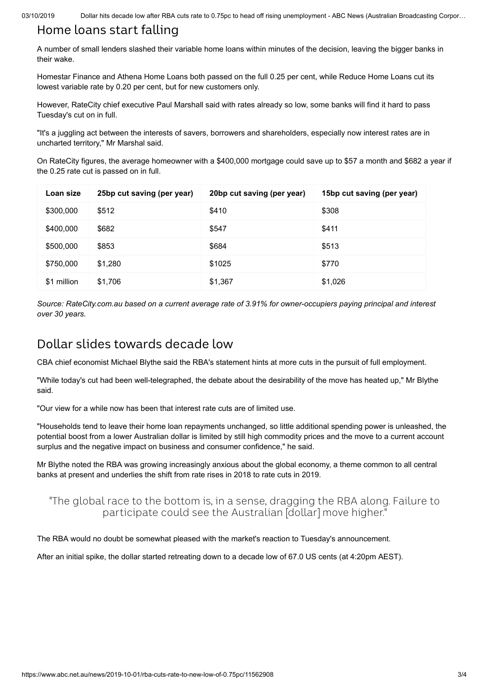03/10/2019 Dollar hits decade low after RBA cuts rate to 0.75pc to head off rising unemployment - ABC News (Australian Broadcasting Corpor...

## Home loans start falling

A number of small lenders slashed their variable home loans within minutes of the decision, leaving the bigger banks in their wake.

Homestar Finance and Athena Home Loans both passed on the full 0.25 per cent, while Reduce Home Loans cut its lowest variable rate by 0.20 per cent, but for new customers only.

However, RateCity chief executive Paul Marshall said with rates already so low, some banks will find it hard to pass Tuesday's cut on in full.

"It's a juggling act between the interests of savers, borrowers and shareholders, especially now interest rates are in uncharted territory," Mr Marshal said.

On RateCity figures, the average homeowner with a \$400,000 mortgage could save up to \$57 a month and \$682 a year if the 0.25 rate cut is passed on in full.

| Loan size   | 25bp cut saving (per year) | 20bp cut saving (per year) | 15bp cut saving (per year) |
|-------------|----------------------------|----------------------------|----------------------------|
| \$300,000   | \$512                      | \$410                      | \$308                      |
| \$400,000   | \$682                      | \$547                      | \$411                      |
| \$500,000   | \$853                      | \$684                      | \$513                      |
| \$750,000   | \$1,280                    | \$1025                     | \$770                      |
| \$1 million | \$1,706                    | \$1,367                    | \$1,026                    |

*Source: RateCity.com.au based on a current average rate of 3.91% for owner-occupiers paying principal and interest over 30 years.*

## Dollar slides towards decade low

CBA chief economist Michael Blythe said the RBA's statement hints at more cuts in the pursuit of full employment.

"While today's cut had been well-telegraphed, the debate about the desirability of the move has heated up," Mr Blythe said.

"Our view for a while now has been that interest rate cuts are of limited use.

"Households tend to leave their home loan repayments unchanged, so little additional spending power is unleashed, the [potential boost from a lower Australian dollar is limited by still high commodity prices and the move to a current account](https://www.abc.net.au/news/2019-09-03/historic-current-account-surplus-banana-republic/11473366) surplus and the negative impact on business and consumer confidence," he said.

Mr Blythe noted the RBA was growing increasingly anxious about the global economy, a theme common to all central banks at present and underlies the shift from rate rises in 2018 to rate cuts in 2019.

#### "The global race to the bottom is, in a sense, dragging the RBA along. Failure to participate could see the Australian [dollar] move higher."

The RBA would no doubt be somewhat pleased with the market's reaction to Tuesday's announcement.

After an initial spike, the dollar started retreating down to a decade low of 67.0 US cents (at 4:20pm AEST).